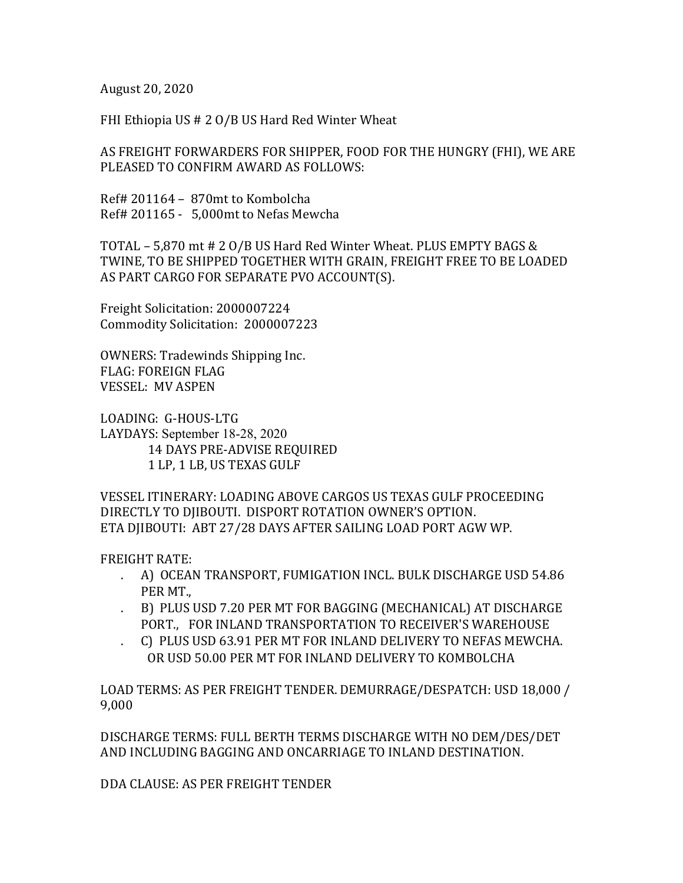August 20, 2020

FHI Ethiopia US  $# 2 O/B$  US Hard Red Winter Wheat

AS FREIGHT FORWARDERS FOR SHIPPER, FOOD FOR THE HUNGRY (FHI), WE ARE PLEASED TO CONFIRM AWARD AS FOLLOWS:

 $Ref# 201164 - 870$ mt to Kombolcha Ref# 201165 - 5,000mt to Nefas Mewcha

TOTAL - 5,870 mt  $# 2$  O/B US Hard Red Winter Wheat. PLUS EMPTY BAGS & TWINE, TO BE SHIPPED TOGETHER WITH GRAIN, FREIGHT FREE TO BE LOADED AS PART CARGO FOR SEPARATE PVO ACCOUNT(S).

Freight Solicitation: 2000007224 Commodity Solicitation: 2000007223

OWNERS: Tradewinds Shipping Inc. FLAG: FOREIGN FLAG VESSEL: MV ASPEN

LOADING: G-HOUS-LTG LAYDAYS: September 18-28, 2020 14 DAYS PRE-ADVISE REQUIRED 1 LP, 1 LB, US TEXAS GULF

VESSEL ITINERARY: LOADING ABOVE CARGOS US TEXAS GULF PROCEEDING DIRECTLY TO DIIBOUTI. DISPORT ROTATION OWNER'S OPTION. ETA DJIBOUTI: ABT 27/28 DAYS AFTER SAILING LOAD PORT AGW WP.

FREIGHT RATE:

- . A) OCEAN TRANSPORT, FUMIGATION INCL. BULK DISCHARGE USD 54.86 PER MT.,
- . B) PLUS USD 7.20 PER MT FOR BAGGING (MECHANICAL) AT DISCHARGE PORT., FOR INLAND TRANSPORTATION TO RECEIVER'S WAREHOUSE
- . C) PLUS USD 63.91 PER MT FOR INLAND DELIVERY TO NEFAS MEWCHA. OR USD 50.00 PER MT FOR INLAND DELIVERY TO KOMBOLCHA

LOAD TERMS: AS PER FREIGHT TENDER. DEMURRAGE/DESPATCH: USD 18,000 / 9,000

DISCHARGE TERMS: FULL BERTH TERMS DISCHARGE WITH NO DEM/DES/DET AND INCLUDING BAGGING AND ONCARRIAGE TO INLAND DESTINATION.

DDA CLAUSE: AS PER FREIGHT TENDER